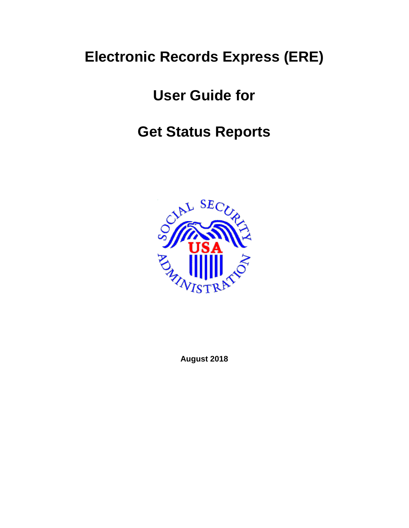# **Electronic Records Express (ERE)**

# **User Guide for**

# **Get Status Reports**



**August 2018**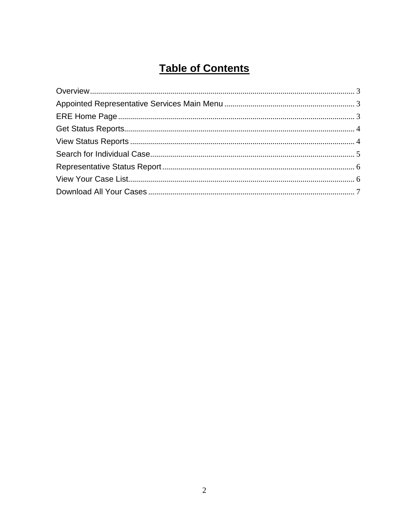# **Table of Contents**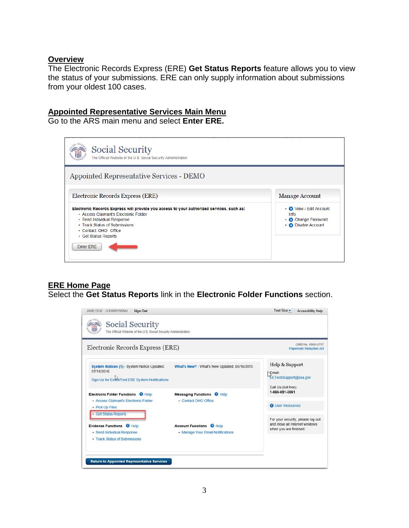#### <span id="page-2-0"></span>**Overview**

The Electronic Records Express (ERE) **Get Status Reports** feature allows you to view the status of your submissions. ERE can only supply information about submissions from your oldest 100 cases.

## <span id="page-2-1"></span>**Appointed Representative Services Main Menu**

Go to the ARS main menu and select **Enter ERE.** 



# <span id="page-2-2"></span>**ERE Home Page**

Select the **Get Status Reports** link in the **Electronic Folder Functions** section.

| Electronic Records Express (ERE)                                                                                 |                                                                      | OMB No. 0960-0767<br><b>Paperwork Reduction Act</b>                                           |
|------------------------------------------------------------------------------------------------------------------|----------------------------------------------------------------------|-----------------------------------------------------------------------------------------------|
| System Notices (1) - System Notice Updated:<br>07/18/2016<br>Sign Up for Email/Text ERE System Notifications     | What's New? - What's New Updated: 05/16/2015                         | Help & Support<br><b>Email:</b><br><b>EETechSupport@ssa.gov</b><br>Call Us (toll free):       |
| Electronic Folder Functions @ Help<br>- Access Claimant's Electronic Folder<br>• Pick Up Files                   | <b>Messaging Functions @ Help</b><br>- Contact OHO Office            | 1-866-691-3061<br><b>2</b> User Resources                                                     |
| · Get Status Reports<br>Evidence Functions @ Help<br>· Send Individual Response<br>• Track Status of Submissions | <b>Account Functions @ Help</b><br>• Manage Your Email Notifications | For your security, please log out<br>and close all Internet windows<br>when you are finished. |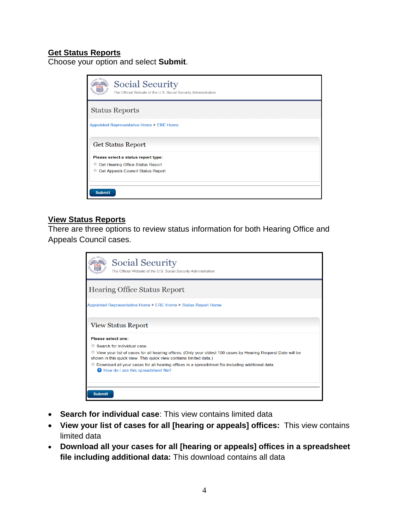### <span id="page-3-0"></span>**Get Status Reports**

Choose your option and select **Submit**.

| <b>Social Security</b><br>The Official Website of the U.S. Social Security Administration |
|-------------------------------------------------------------------------------------------|
| <b>Status Reports</b>                                                                     |
| Appointed Representative Home > ERE Home                                                  |
| <b>Get Status Report</b>                                                                  |
| Please select a status report type:                                                       |
| Get Hearing Office Status Report<br>$\circledcirc$                                        |
| O<br>Get Appeals Council Status Report                                                    |
|                                                                                           |
|                                                                                           |
| <b>Submit</b>                                                                             |

#### <span id="page-3-1"></span>**View Status Reports**

There are three options to review status information for both Hearing Office and Appeals Council cases.

|                    | <b>Social Security</b><br>The Official Website of the U.S. Social Security Administration                                                                                           |
|--------------------|-------------------------------------------------------------------------------------------------------------------------------------------------------------------------------------|
|                    | <b>Hearing Office Status Report</b>                                                                                                                                                 |
|                    | Appointed Representative Home > ERE Home > Status Report Home                                                                                                                       |
|                    | <b>View Status Report</b>                                                                                                                                                           |
| Please select one: |                                                                                                                                                                                     |
|                    | Search for individual case                                                                                                                                                          |
|                    | ● View your list of cases for all hearing offices. (Only your oldest 100 cases by Hearing Request Date will be<br>shown in this quick view. This quick view contains limited data.) |
|                    | © Download all your cases for all hearing offices in a spreadsheet file including additional data.<br><b>2</b> How do I use this spreadsheet file?                                  |
| <b>Submit</b>      |                                                                                                                                                                                     |

- **Search for individual case**: This view contains limited data
- **View your list of cases for all [hearing or appeals] offices:** This view contains limited data
- **Download all your cases for all [hearing or appeals] offices in a spreadsheet file including additional data:** This download contains all data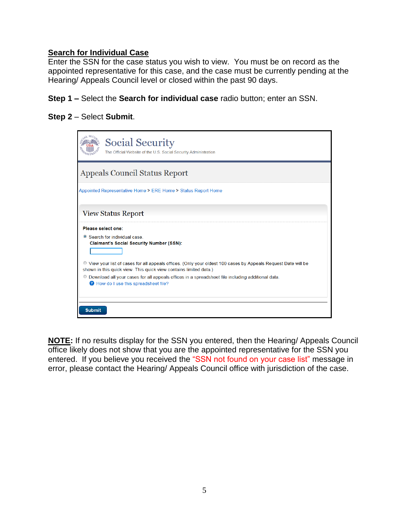### <span id="page-4-0"></span>**Search for Individual Case**

Enter the SSN for the case status you wish to view. You must be on record as the appointed representative for this case, and the case must be currently pending at the Hearing/ Appeals Council level or closed within the past 90 days.

**Step 1 –** Select the **Search for individual case** radio button; enter an SSN.

#### **Step 2** – Select **Submit**.

| <b>Social Security</b><br>The Official Website of the U.S. Social Security Administration                                                                                           |
|-------------------------------------------------------------------------------------------------------------------------------------------------------------------------------------|
| <b>Appeals Council Status Report</b>                                                                                                                                                |
| Appointed Representative Home > ERE Home > Status Report Home                                                                                                                       |
| <b>View Status Report</b>                                                                                                                                                           |
| Please select one:<br>● Search for individual case<br><b>Claimant's Social Security Number (SSN):</b>                                                                               |
| ■ View your list of cases for all appeals offices. (Only your oldest 100 cases by Appeals Request Date will be<br>shown in this quick view. This quick view contains limited data.) |
| © Download all your cases for all appeals offices in a spreadsheet file including additional data.<br>How do I use this spreadsheet file?                                           |
| <b>Submit</b>                                                                                                                                                                       |

**NOTE:** If no results display for the SSN you entered, then the Hearing/ Appeals Council office likely does not show that you are the appointed representative for the SSN you entered. If you believe you received the "SSN not found on your case list" message in error, please contact the Hearing/ Appeals Council office with jurisdiction of the case.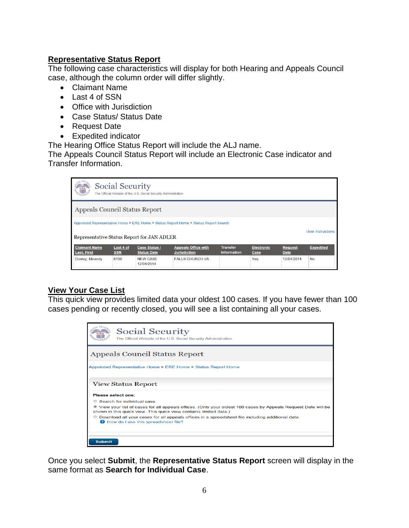#### <span id="page-5-0"></span>**Representative Status Report**

The following case characteristics will display for both Hearing and Appeals Council case, although the column order will differ slightly.

- Claimant Name
- Last 4 of SSN
- Office with Jurisdiction
- Case Status/ Status Date
- Request Date
- Expedited indicator

The Hearing Office Status Report will include the ALJ name.

The Appeals Council Status Report will include an Electronic Case indicator and Transfer Information.

| <b>Social Security</b><br>The Official Website of the U.S. Social Security Administration                                                                      |                         |                                            |                                                   |                                       |                           |                        |                  |
|----------------------------------------------------------------------------------------------------------------------------------------------------------------|-------------------------|--------------------------------------------|---------------------------------------------------|---------------------------------------|---------------------------|------------------------|------------------|
| <b>Appeals Council Status Report</b>                                                                                                                           |                         |                                            |                                                   |                                       |                           |                        |                  |
| Appointed Representative Home > ERE Home > Status Report Home > Status Report Search<br><b>User Instructions</b><br>Representative Status Report for JAN ADLER |                         |                                            |                                                   |                                       |                           |                        |                  |
| <b>Claimant Name</b><br><b>Last, First</b>                                                                                                                     | Last 4 of<br><b>SSN</b> | <b>Case Status /</b><br><b>Status Date</b> | <b>Appeals Office with</b><br><b>Jurisdiction</b> | <b>Transfer</b><br><b>Information</b> | <b>Electronic</b><br>Case | <b>Request</b><br>Date | <b>Expedited</b> |
| Donley, Mirandy                                                                                                                                                | 6106                    | <b>NFW CASE</b><br>12/04/2014              | <b>FAILS CHURCH VA</b>                            |                                       | Yes                       | 12/04/2014             | <b>No</b>        |

### <span id="page-5-1"></span>**View Your Case List**

This quick view provides limited data your oldest 100 cases. If you have fewer than 100 cases pending or recently closed, you will see a list containing all your cases.

| <b>Social Security</b><br>The Official Website of the U.S. Social Security Administration                                                                                           |
|-------------------------------------------------------------------------------------------------------------------------------------------------------------------------------------|
| Appeals Council Status Report                                                                                                                                                       |
| Appointed Representative Home > ERE Home > Status Report Home                                                                                                                       |
| <b>View Status Report</b>                                                                                                                                                           |
| Please select one:                                                                                                                                                                  |
| Search for individual case                                                                                                                                                          |
| • View your list of cases for all appeals offices. (Only your oldest 100 cases by Appeals Request Date will be<br>shown in this quick view. This quick view contains limited data.) |
| Download all your cases for all appeals offices in a spreadsheet file including additional data.<br>How do I use this spreadsheet file?                                             |
| <b>Submit</b>                                                                                                                                                                       |

Once you select **Submit**, the **Representative Status Report** screen will display in the same format as **Search for Individual Case**.